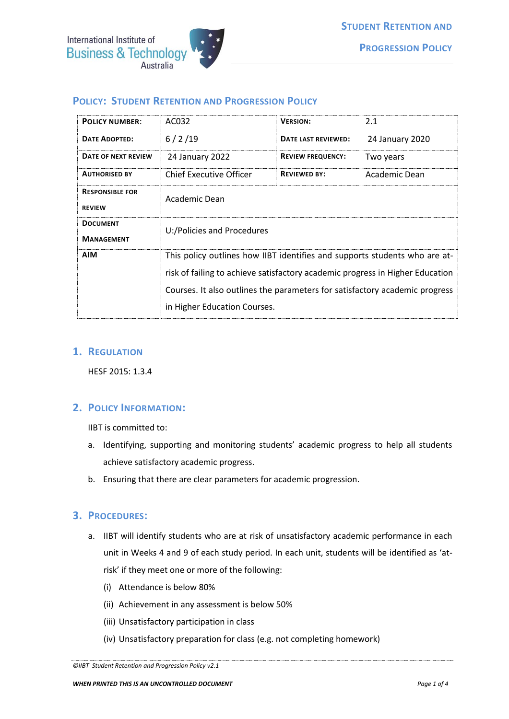

# **POLICY: STUDENT RETENTION AND PROGRESSION POLICY**

| <b>POLICY NUMBER:</b>                   | AC032                                                                         | <b>VERSION:</b>          | 2.1             |
|-----------------------------------------|-------------------------------------------------------------------------------|--------------------------|-----------------|
| <b>DATE ADOPTED:</b>                    | 6/2/19                                                                        | DATE LAST REVIEWED:      | 24 January 2020 |
| DATE OF NEXT REVIEW                     | 24 January 2022                                                               | <b>REVIEW FREQUENCY:</b> | Two years       |
| <b>AUTHORISED BY</b>                    | Chief Executive Officer                                                       | <b>REVIEWED BY:</b>      | Academic Dean   |
| <b>RESPONSIBLE FOR</b><br><b>REVIEW</b> | Academic Dean                                                                 |                          |                 |
| <b>DOCUMENT</b><br><b>MANAGEMENT</b>    | U:/Policies and Procedures                                                    |                          |                 |
| <b>AIM</b>                              | This policy outlines how IIBT identifies and supports students who are at-    |                          |                 |
|                                         | risk of failing to achieve satisfactory academic progress in Higher Education |                          |                 |
|                                         | Courses. It also outlines the parameters for satisfactory academic progress   |                          |                 |
|                                         | in Higher Education Courses.                                                  |                          |                 |

## **1. REGULATION**

HESF 2015: 1.3.4

## **2. POLICY INFORMATION:**

IIBT is committed to:

- a. Identifying, supporting and monitoring students' academic progress to help all students achieve satisfactory academic progress.
- b. Ensuring that there are clear parameters for academic progression.

## **3. PROCEDURES:**

- a. IIBT will identify students who are at risk of unsatisfactory academic performance in each unit in Weeks 4 and 9 of each study period. In each unit, students will be identified as 'atrisk' if they meet one or more of the following:
	- (i) Attendance is below 80%
	- (ii) Achievement in any assessment is below 50%
	- (iii) Unsatisfactory participation in class
	- (iv) Unsatisfactory preparation for class (e.g. not completing homework)

*<sup>©</sup>IIBT Student Retention and Progression Policy v2.1*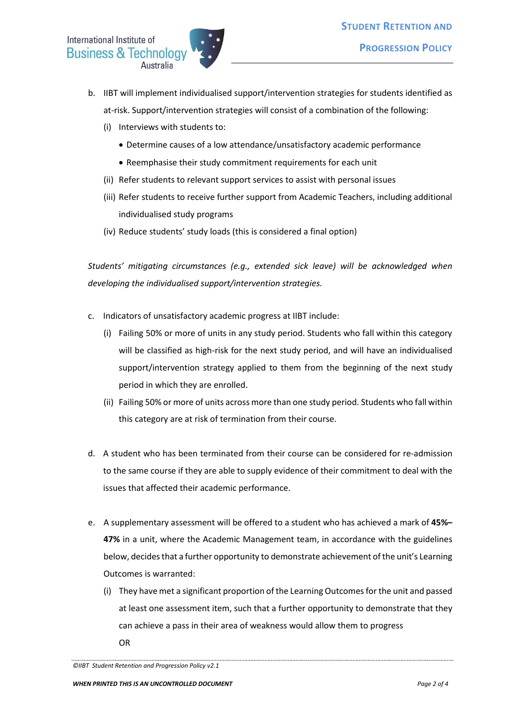- b. IIBT will implement individualised support/intervention strategies for students identified as at-risk. Support/intervention strategies will consist of a combination of the following:
	- (i) Interviews with students to:
		- Determine causes of a low attendance/unsatisfactory academic performance
		- Reemphasise their study commitment requirements for each unit
	- (ii) Refer students to relevant support services to assist with personal issues
	- (iii) Refer students to receive further support from Academic Teachers, including additional individualised study programs
	- (iv) Reduce students' study loads (this is considered a final option)

*Students' mitigating circumstances (e.g., extended sick leave) will be acknowledged when developing the individualised support/intervention strategies.*

- c. Indicators of unsatisfactory academic progress at IIBT include:
	- (i) Failing 50% or more of units in any study period. Students who fall within this category will be classified as high-risk for the next study period, and will have an individualised support/intervention strategy applied to them from the beginning of the next study period in which they are enrolled.
	- (ii) Failing 50% or more of units across more than one study period. Students who fall within this category are at risk of termination from their course.
- d. A student who has been terminated from their course can be considered for re-admission to the same course if they are able to supply evidence of their commitment to deal with the issues that affected their academic performance.
- e. A supplementary assessment will be offered to a student who has achieved a mark of **45%– 47%** in a unit, where the Academic Management team, in accordance with the guidelines below, decides that a further opportunity to demonstrate achievement of the unit's Learning Outcomes is warranted:
	- (i) They have met a significant proportion of the Learning Outcomes for the unit and passed at least one assessment item, such that a further opportunity to demonstrate that they can achieve a pass in their area of weakness would allow them to progress OR

*<sup>©</sup>IIBT Student Retention and Progression Policy v2.1*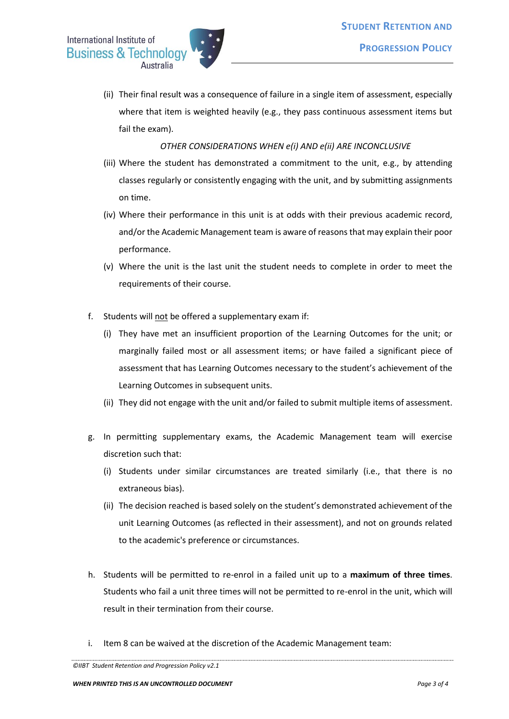

(ii) Their final result was a consequence of failure in a single item of assessment, especially where that item is weighted heavily (e.g., they pass continuous assessment items but fail the exam).

## *OTHER CONSIDERATIONS WHEN e(i) AND e(ii) ARE INCONCLUSIVE*

- (iii) Where the student has demonstrated a commitment to the unit, e.g., by attending classes regularly or consistently engaging with the unit, and by submitting assignments on time.
- (iv) Where their performance in this unit is at odds with their previous academic record, and/or the Academic Management team is aware of reasonsthat may explain their poor performance.
- (v) Where the unit is the last unit the student needs to complete in order to meet the requirements of their course.
- f. Students will not be offered a supplementary exam if:
	- (i) They have met an insufficient proportion of the Learning Outcomes for the unit; or marginally failed most or all assessment items; or have failed a significant piece of assessment that has Learning Outcomes necessary to the student's achievement of the Learning Outcomes in subsequent units.
	- (ii) They did not engage with the unit and/or failed to submit multiple items of assessment.
- g. In permitting supplementary exams, the Academic Management team will exercise discretion such that:
	- (i) Students under similar circumstances are treated similarly (i.e., that there is no extraneous bias).
	- (ii) The decision reached is based solely on the student's demonstrated achievement of the unit Learning Outcomes (as reflected in their assessment), and not on grounds related to the academic's preference or circumstances.
- h. Students will be permitted to re-enrol in a failed unit up to a **maximum of three times**. Students who fail a unit three times will not be permitted to re-enrol in the unit, which will result in their termination from their course.
- i. Item 8 can be waived at the discretion of the Academic Management team:

*<sup>©</sup>IIBT Student Retention and Progression Policy v2.1*